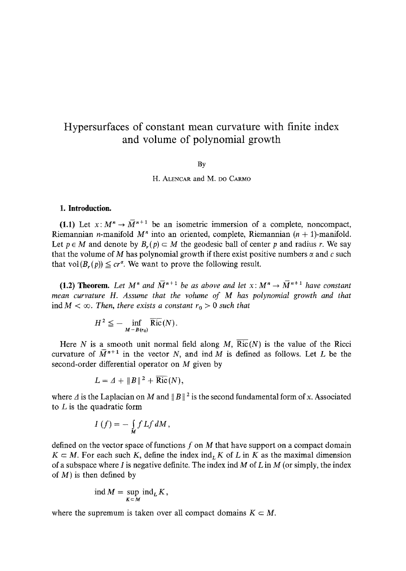## Hypersurfaces of constant mean curvature with finite index and volume of polynomial growth

By

H. ALENCAR and M. DO CARMO

## **1. Introduction.**

(1.1) Let  $x: M^n \to \overline{M}^{n+1}$  be an isometric immersion of a complete, noncompact, Riemannian *n*-manifold  $M<sup>n</sup>$  into an oriented, complete, Riemannian ( $n + 1$ )-manifold. Let  $p \in M$  and denote by  $B_n(p) \subset M$  the geodesic ball of center p and radius r. We say that the volume of M has polynomial growth if there exist positive numbers  $\alpha$  and c such that  $vol(B_r(p)) \leq cr^{\alpha}$ . We want to prove the following result.

(1.2) Theorem. Let  $M^n$  and  $\overline{M}^{n+1}$  be as above and let  $x: M^n \to \overline{M}^{n+1}$  have constant *mean curvature H. Assume that the volume of M has polynomial growth and that*  ind  $M < \infty$ . Then, there exists a constant  $r_0 > 0$  such that

$$
H^2 \leqq -\inf_{M-B(r_0)} \overline{{\rm Ric}}(N).
$$

Here N is a smooth unit normal field along M,  $\overline{\text{Ric}}(N)$  is the value of the Ricci curvature of  $\overline{M}^{n+1}$  in the vector N, and ind M is defined as follows. Let L be the second-order differential operator on M given by

$$
L = \Delta + ||B||^2 + \text{Ric}(N),
$$

where  $\Delta$  is the Laplacian on M and  $||B||^2$  is the second fundamental form of x. Associated to  $L$  is the quadratic form

$$
I(f) = -\int\limits_M f\,Lf\,dM,
$$

defined on the vector space of functions  $f$  on  $M$  that have support on a compact domain  $K \subset M$ . For each such K, define the index ind<sub>L</sub> K of L in K as the maximal dimension of a subspace where I is negative definite. The index ind  $M$  of  $L$  in  $M$  (or simply, the index of  $M$ ) is then defined by

$$
ind M = \sup_{K \subset M} ind_L K,
$$

where the supremum is taken over all compact domains  $K \subset M$ .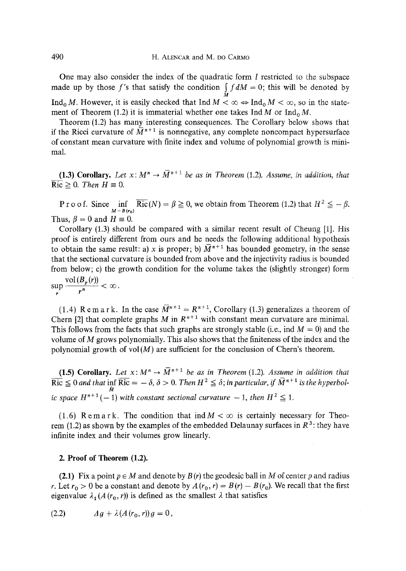One may also consider the index of the quadratic form I restricted to the subspace made up by those f's that satisfy the condition  $\int f dM = 0$ ; this will be denoted by Ind<sub>0</sub> M. However, it is easily checked that Ind  $M < \infty \Leftrightarrow \text{Ind}_0 M < \infty$ , so in the statement of Theorem (1.2) it is immaterial whether one takes  $\text{Ind}_{\Omega} M$  or  $\text{Ind}_{\Omega} M$ .

Theorem (1.2) has many interesting consequences. The Corollary below shows that if the Ricci curvature of  $\overline{M}^{n+1}$  is nonnegative, any complete noncompact hypersurface of constant mean curvature with finite index and volume of polynomial growth is minimal.

(1.3) Corollary. Let  $x: M^n \to \overline{M}^{n+1}$  be as in Theorem (1.2). Assume, in addition, that  $\overline{{\rm Ric}} \geq 0$ . *Then*  $H \equiv 0$ .

P r o o f. Since  $\inf_{M-B(r_0)}$  Ric $(N) = \beta \ge 0$ , we obtain from Theorem (1.2) that  $H^2 \le -\beta$ . Thus,  $\beta = 0$  and  $H \equiv 0$ .

Corollary (1.3) should be compared with a similar recent result of Cheung [1]. His proof is entirely different from ours and he needs the following additional hypothesis to obtain the same result: a) x is proper; b)  $\overline{M}^{n+1}$  has bounded geometry, in the sense that the sectional curvature is bounded from above and the injectivity radius is bounded from below; c) the growth condition for the volume takes the (slightly stronger) form

 $\sup_r \frac{\text{vol}(B_p(r))}{r^n} < \infty$ .

(1.4) R e m a r k. In the case  $\overline{M}^{n+1} = R^{n+1}$ , Corollary (1.3) generalizes a theorem of Chern [2] that complete graphs M in  $R^{n+1}$  with constant mean curvature are minimal. This follows from the facts that such graphs are strongly stable (i.e., ind  $M = 0$ ) and the volume of M grows polynomially. This also shows that the finiteness of the index and the polynomial growth of  $vol(M)$  are sufficient for the conclusion of Chern's theorem.

(1.5) Corollary. Let  $x: M^n \to \overline{M}^{n+1}$  be as in Theorem (1.2). Assume in addition that  $\overrightarrow{Ric} \leq 0$  *and that* inf  $\overrightarrow{Ric} = -\delta$ ,  $\delta > 0$ . *Then*  $H^2 \leq \delta$ ; in particular, if  $\overrightarrow{M}^{n+1}$  is the hyperbol*ic space*  $H^{n+1}(-1)$  *with constant sectional curvature*  $-1$ *, then*  $H^2 \le 1$ *.* 

(1.6) Remark. The condition that ind  $M < \infty$  is certainly necessary for Theorem (1.2) as shown by the examples of the embedded Delaunay surfaces in  $R^3$ : they have infinite index and their volumes grow linearly.

## 2. Proof of Theorem (1.2).

(2.1) Fix a point  $p \in M$  and denote by  $B(r)$  the geodesic ball in M of center p and radius r. Let  $r_0 > 0$  be a constant and denote by  $A(r_0, r) = B(r) - B(r_0)$ . We recall that the first eigenvalue  $\lambda_1(A(r_0, r))$  is defined as the smallest  $\lambda$  that satisfies

$$
(2.2) \t\t d g + \lambda (A(r_0, r)) g = 0,
$$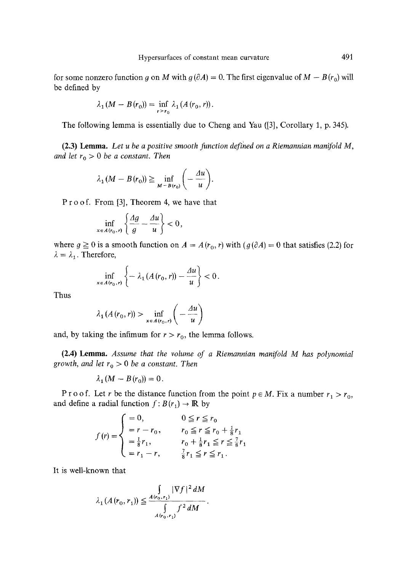for some nonzero function g on M with  $g(\partial A) = 0$ . The first eigenvalue of  $M - B(r_0)$  will be defined by

$$
\lambda_1(M - B(r_0)) = \inf_{r > r_0} \lambda_1(A(r_0, r)).
$$

The following lemma is essentially due to Cheng and Yau ([3], Corollary 1, p. 345).

(2.3) Lemma. *Let u be a positive smooth function defined on a Riemannian manifold M, and let*  $r_0 > 0$  *be a constant. Then* 

$$
\lambda_1(M - B(r_0)) \geq \inf_{M - B(r_0)} \left( -\frac{\Delta u}{u} \right).
$$

P r o o f. From [3], Theorem 4, we have that

$$
\inf_{x \in A(r_0,r)} \left\{ \frac{Ag}{g} - \frac{Au}{u} \right\} < 0,
$$

where  $g \ge 0$  is a smooth function on  $A = A(r_0, r)$  with  $(g(\partial A) = 0$  that satisfies (2.2) for  $\lambda = \lambda_1$ . Therefore,

$$
\inf_{x\in A(r_0,r)}\left\{-\lambda_1(A(r_0,r))-\frac{\Delta u}{u}\right\}<0.
$$

Thus

$$
\lambda_1(A(r_0, r)) > \inf_{x \in A(r_0, r)} \left( -\frac{\Delta u}{u} \right)
$$

and, by taking the infimum for  $r > r_0$ , the lemma follows.

(2.4) Lemma. *Assume that the volume of a Riemannian manifold M has polynomial growth, and let*  $r_0 > 0$  *be a constant. Then* 

$$
\lambda_1(M-B(r_0))=0.
$$

P r o o f. Let r be the distance function from the point  $p \in M$ . Fix a number  $r_1 > r_0$ , and define a radial function  $f: B(r_1) \to \mathbb{R}$  by

$$
f(r) = \begin{cases} = 0, & 0 \le r \le r_0 \\ = r - r_0, & r_0 \le r \le r_0 + \frac{1}{8}r_1 \\ = \frac{1}{8}r_1, & r_0 + \frac{1}{8}r_1 \le r \le \frac{7}{8}r_1 \\ = r_1 - r, & \frac{7}{8}r_1 \le r \le r_1. \end{cases}
$$

It is well-known that

$$
\lambda_1(A(r_0, r_1)) \leq \frac{\int_{A(r_0, r_1)} |\nabla f|^2 dM}{\int_{A(r_0, r_1)} f^2 dM}.
$$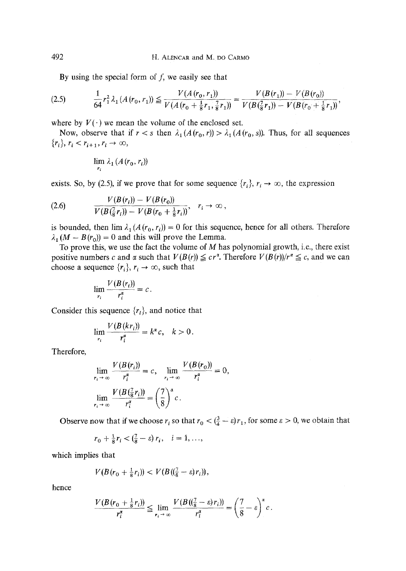By using the special form of  $f$ , we easily see that

$$
(2.5) \qquad \frac{1}{64}r_1^2\lambda_1(A(r_0,r_1))\leq \frac{V(A(r_0,r_1))}{V(A(r_0+\frac{1}{8}r_1,\frac{7}{8}r_1))}=\frac{V(B(r_1))-V(B(r_0))}{V(B(\frac{7}{8}r_1))-V(B(r_0+\frac{1}{8}r_1))},
$$

where by  $V(\cdot)$  we mean the volume of the enclosed set.

Now, observe that if  $r < s$  then  $\lambda_1(A(r_0, r)) > \lambda_1(A(r_0, s))$ . Thus, for all sequences  ${r_i}, r_i < r_{i+1}, r_i \to \infty$ ,

$$
\lim_{r_i} \lambda_1(A(r_0,r_i))
$$

exists. So, by (2.5), if we prove that for some sequence  $\{r_i\}$ ,  $r_i \rightarrow \infty$ , the expression

$$
(2.6) \t\t V(B(r_i)) - V(B(r_0)) \t\t V(B(\frac{7}{8}r_i)) - V(B(r_0 + \frac{1}{8}r_i)) , \quad r_i \to \infty ,
$$

is bounded, then  $\lim_{t \to 1} \lambda_1(A(r_0, r_i)) = 0$  for this sequence, hence for all others. Therefore  $\lambda_1 (M - B(r_0)) = 0$  and this will prove the Lemma.

To prove this, we use the fact the volume of  $M$  has polynomial growth, i.e., there exist positive numbers c and  $\alpha$  such that  $V(B(r)) \leq cr^{\alpha}$ . Therefore  $V(B(r))/r^{\alpha} \leq c$ , and we can choose a sequence  $\{r_i\}$ ,  $r_i \rightarrow \infty$ , such that

$$
\lim_{r_i} \frac{V(B(r_i))}{r_i^{\alpha}} = c.
$$

Consider this sequence  $\{r_i\}$ , and notice that

$$
\lim_{r_i} \frac{V(B(kr_i))}{r_i^{\alpha}} = k^{\alpha} c, \quad k > 0.
$$

Therefore,

$$
\lim_{r_i \to \infty} \frac{V(B(r_i))}{r_i^{\alpha}} = c, \quad \lim_{r_i \to \infty} \frac{V(B(r_0))}{r_i^{\alpha}} = 0,
$$
\n
$$
\lim_{r_i \to \infty} \frac{V(B(\frac{7}{8}r_i))}{r_i^{\alpha}} = \left(\frac{7}{8}\right)^{\alpha} c.
$$

Observe now that if we choose  $r_i$  so that  $r_0 < (\frac{3}{4} - \varepsilon)r_1$ , for some  $\varepsilon > 0$ , we obtain that

$$
r_0 + \frac{1}{8}r_i < (\frac{7}{8} - \varepsilon)r_i, \quad i = 1, ...,
$$

which implies that

$$
V(B(r_0+\tfrac{1}{8}r_i)) < V(B((\tfrac{7}{8}-\varepsilon)r_i)),
$$

hence

$$
\frac{V(B(r_0+\frac{1}{8}r_i))}{r_i^{\alpha}} \leq \lim_{r_i \to \infty} \frac{V(B((\frac{7}{8}-\varepsilon)r_i))}{r_i^{\alpha}} = \left(\frac{7}{8}-\varepsilon\right)^{\alpha}c.
$$